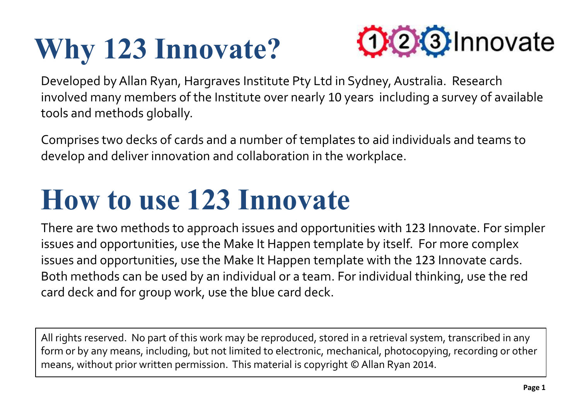## **Why 123 Innovate?**



Developed by Allan Ryan, Hargraves Institute Pty Ltd in Sydney, Australia. Research involved many members of the Institute over nearly 10 years including a survey of available tools and methods globally.

Comprises two decks of cards and a number of templates to aid individuals and teams to develop and deliver innovation and collaboration in the workplace.

### **How to use 123 Innovate**

There are two methods to approach issues and opportunities with 123 Innovate. For simpler issues and opportunities, use the Make It Happen template by itself. For more complex issues and opportunities, use the Make It Happen template with the 123 Innovate cards. Both methods can be used by an individual or a team. For individual thinking, use the red card deck and for group work, use the blue card deck.

All rights reserved. No part of this work may be reproduced, stored in a retrieval system, transcribed in any form or by any means, including, but not limited to electronic, mechanical, photocopying, recording or other means, without prior written permission. This material is copyright © Allan Ryan 2014.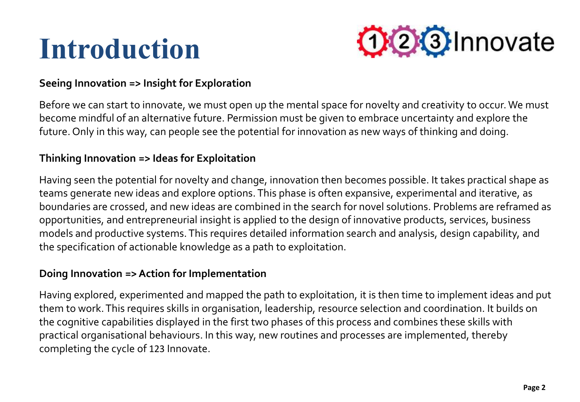### **Introduction**



#### **Seeing Innovation => Insight for Exploration**

Before we can start to innovate, we must open up the mental space for novelty and creativity to occur. We must become mindful of an alternative future. Permission must be given to embrace uncertainty and explore the future. Only in this way, can people see the potential for innovation as new ways of thinking and doing.

#### **Thinking Innovation => Ideas for Exploitation**

Having seen the potential for novelty and change, innovation then becomes possible. It takes practical shape as teams generate new ideas and explore options. This phase is often expansive, experimental and iterative, as boundaries are crossed, and new ideas are combined in the search for novel solutions. Problems are reframed as opportunities, and entrepreneurial insight is applied to the design of innovative products, services, business models and productive systems. This requires detailed information search and analysis, design capability, and the specification of actionable knowledge as a path to exploitation.

#### **Doing Innovation => Action for Implementation**

Having explored, experimented and mapped the path to exploitation, it is then time to implement ideas and put them to work. This requires skills in organisation, leadership, resource selection and coordination. It builds on the cognitive capabilities displayed in the first two phases of this process and combines these skills with practical organisational behaviours. In this way, new routines and processes are implemented, thereby completing the cycle of 123 Innovate.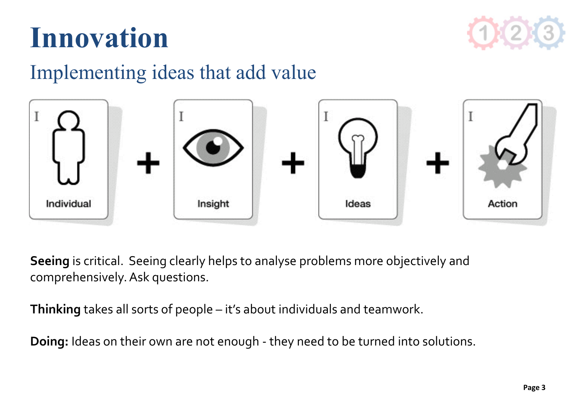

### **Innovation**

### Implementing ideas that add value



**Seeing** is critical. Seeing clearly helps to analyse problems more objectively and comprehensively. Ask questions.

**Thinking** takes all sorts of people – it's about individuals and teamwork.

**Doing:** Ideas on their own are not enough - they need to be turned into solutions.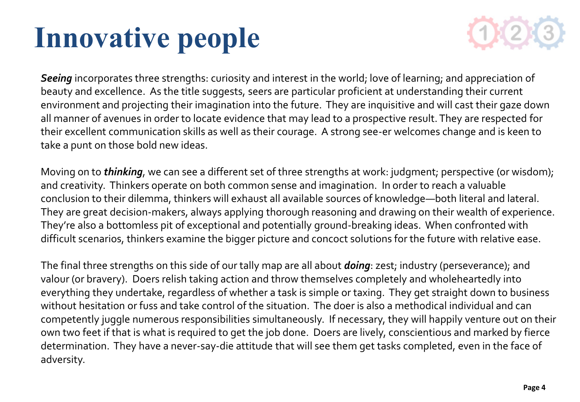### **Innovative people**



*Seeing* incorporates three strengths: curiosity and interest in the world; love of learning; and appreciation of beauty and excellence. As the title suggests, seers are particular proficient at understanding their current environment and projecting their imagination into the future. They are inquisitive and will cast their gaze down all manner of avenues in order to locate evidence that may lead to a prospective result. They are respected for their excellent communication skills as well as their courage. A strong see-er welcomes change and is keen to take a punt on those bold new ideas.

Moving on to *thinking*, we can see a different set of three strengths at work: judgment; perspective (or wisdom); and creativity. Thinkers operate on both common sense and imagination. In order to reach a valuable conclusion to their dilemma, thinkers will exhaust all available sources of knowledge—both literal and lateral. They are great decision-makers, always applying thorough reasoning and drawing on their wealth of experience. They're also a bottomless pit of exceptional and potentially ground-breaking ideas. When confronted with difficult scenarios, thinkers examine the bigger picture and concoct solutions for the future with relative ease.

The final three strengths on this side of our tally map are all about *doing*: zest; industry (perseverance); and valour (or bravery). Doers relish taking action and throw themselves completely and wholeheartedly into everything they undertake, regardless of whether a task is simple or taxing. They get straight down to business without hesitation or fuss and take control of the situation. The doer is also a methodical individual and can competently juggle numerous responsibilities simultaneously. If necessary, they will happily venture out on their own two feet if that is what is required to get the job done. Doers are lively, conscientious and marked by fierce determination. They have a never-say-die attitude that will see them get tasks completed, even in the face of adversity.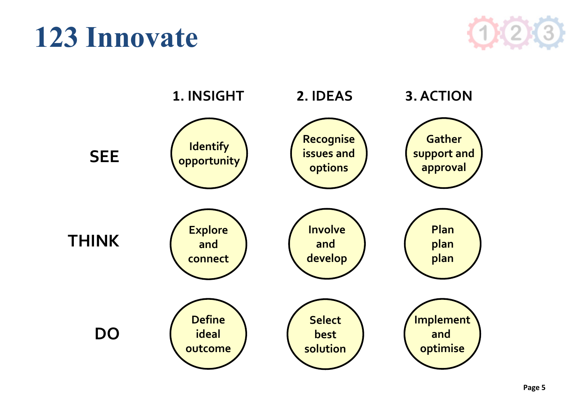### **123 Innovate**



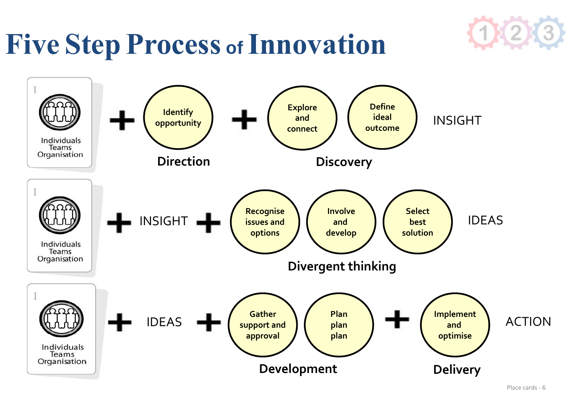### **Five Step Process of Innovation**



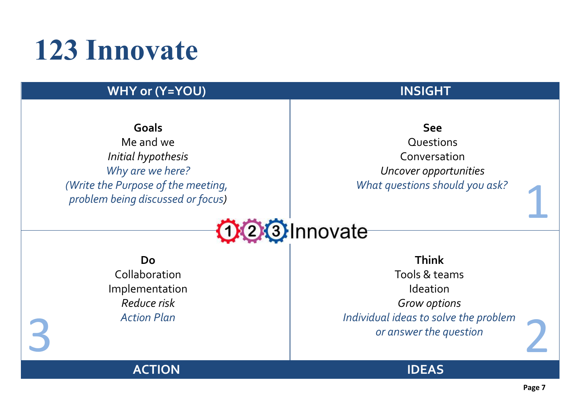### **123 Innovate**

#### **WHY or (Y=YOU) INSIGHT**

**Goals** Me and we *Initial hypothesis Why are we here? (Write the Purpose of the meeting, problem being discussed or focus)*

#### **See**

**Questions** Conversation *Uncover opportunities What questions should you ask?*



**Do** Collaboration Implementation *Reduce risk Action Plan*

Action Plan<br> *B Action Plan*<br> *B answer the question*<br> *S answer the question* **Think** Tools & teams Ideation *Grow options Individual ideas to solve the problem or answer the question*

**ACTION**



1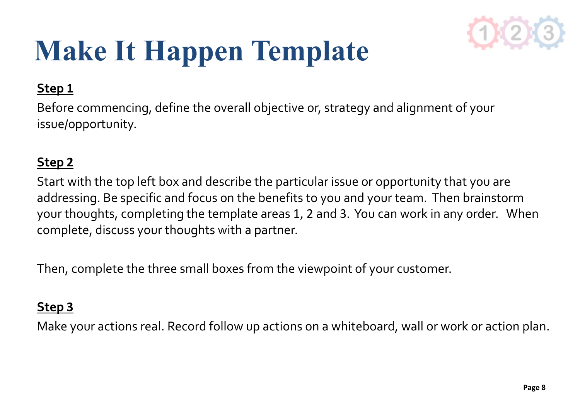

### **Make It Happen Template**

#### **Step 1**

Before commencing, define the overall objective or, strategy and alignment of your issue/opportunity.

#### **Step 2**

Start with the top left box and describe the particular issue or opportunity that you are addressing. Be specific and focus on the benefits to you and your team. Then brainstorm your thoughts, completing the template areas 1, 2 and 3. You can work in any order. When complete, discuss your thoughts with a partner.

Then, complete the three small boxes from the viewpoint of your customer.

#### **Step 3**

Make your actions real. Record follow up actions on a whiteboard, wall or work or action plan.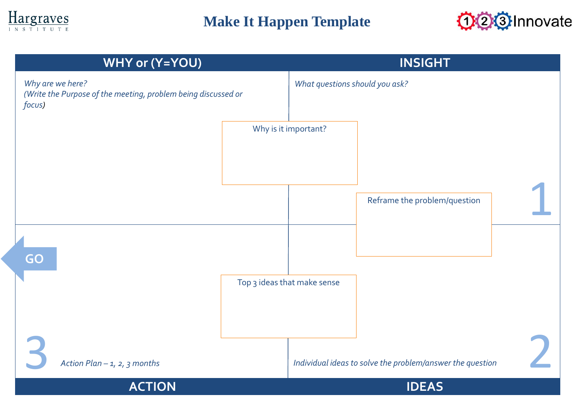

### **Make It Happen Template**



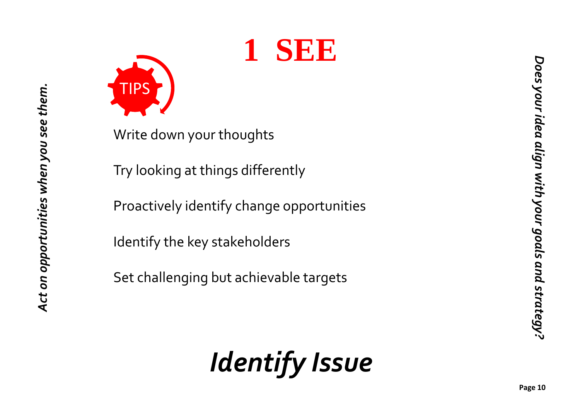



*Act on opportunities when you see them.*

Act on opportunities when you see them.

Write down your thoughts

Try looking at things differently

Proactively identify change opportunities

Identify the key stakeholders

Set challenging but achievable targets

*Identify Issue*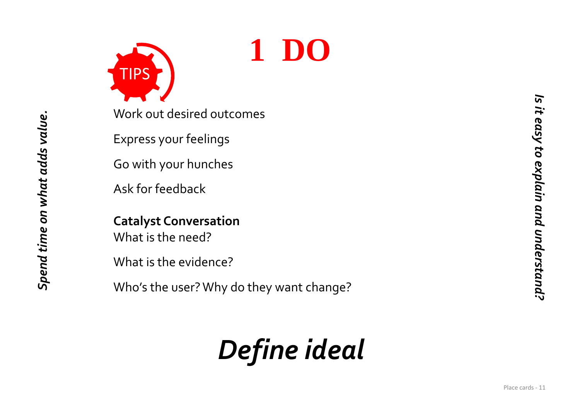

**1 DO**

Work out desired outcomes

Express your feelings

Go with your hunches

Ask for feedback

*Spend time on what adds value.*

Spend time on what adds value.

**Catalyst Conversation** What is the need?

What is the evidence?

Who's the user? Why do they want change?

### *Define ideal*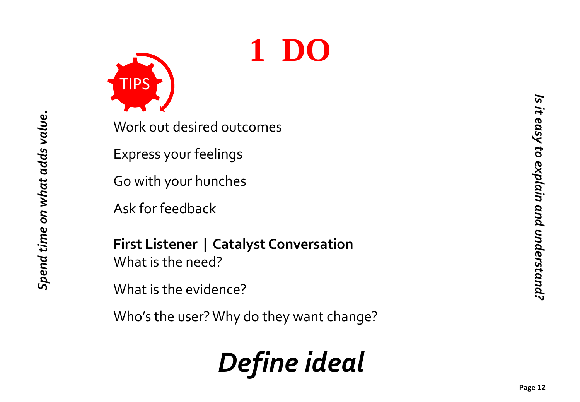



*Spend time on what adds value.*

Spend time on what adds value.

Work out desired outcomes

Express your feelings

Go with your hunches

Ask for feedback

**First Listener | Catalyst Conversation** What is the need?

What is the evidence?

Who's the user? Why do they want change?

### *Define ideal*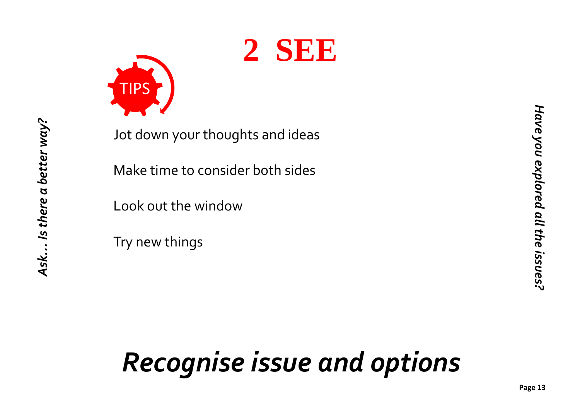



*Ask… Is there a better way?*

Ask… Is there a better way?

Jot down your thoughts and ideas

Make time to consider both sides

Look out the window

Try new things

### *Recognise issue and options*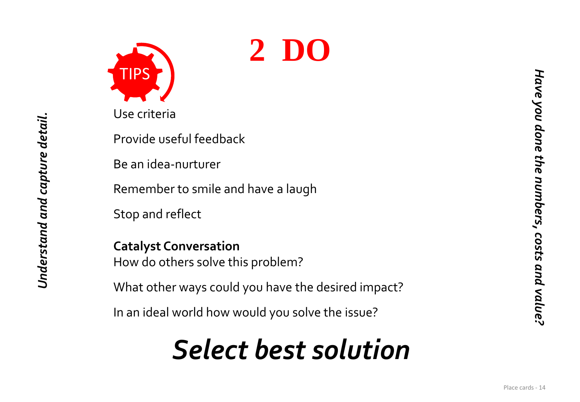

Use criteria

Provide useful feedback

Be an idea -nurturer

Remember to smile and have a laugh

Stop and reflect

*Understand and capture detail.*

Understand and capture detail.

**Catalyst Conversation** How do others solve this problem?

What other ways could you have the desired impact?

In an ideal world how would you solve the issue?

### *Select best solution*

**2 DO**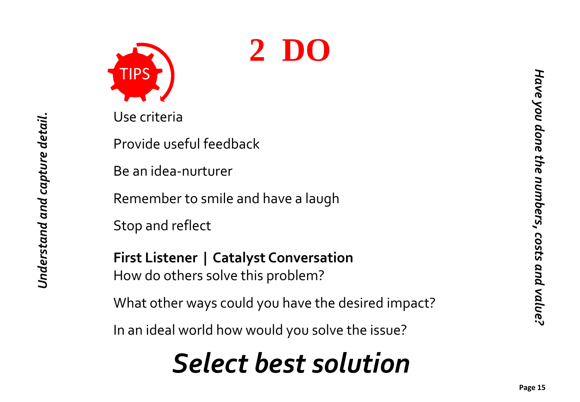



Use criteria

*Understand and capture detail.*

Understand and capture detail.

Provide useful feedback

Be an idea -nurturer

Remember to smile and have a laugh

Stop and reflect

**First Listener | Catalyst Conversation** How do others solve this problem?

What other ways could you have the desired impact?

In an ideal world how would you solve the issue?

### *Select best solution*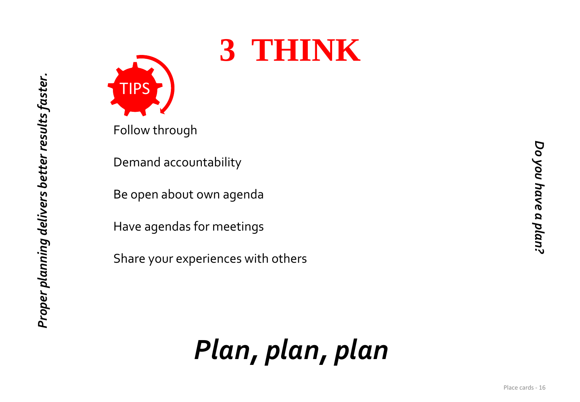

# **3 THINK**

Follow through

Demand accountability

Be open about own agenda

Have agendas for meetings

Share your experiences with others

*Plan, plan, plan*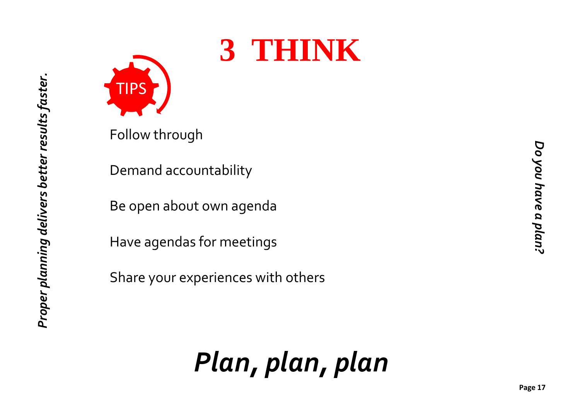

# **3 THINK**

Follow through

Demand accountability

Be open about own agenda

Have agendas for meetings

Share your experiences with others

*Plan, plan, plan*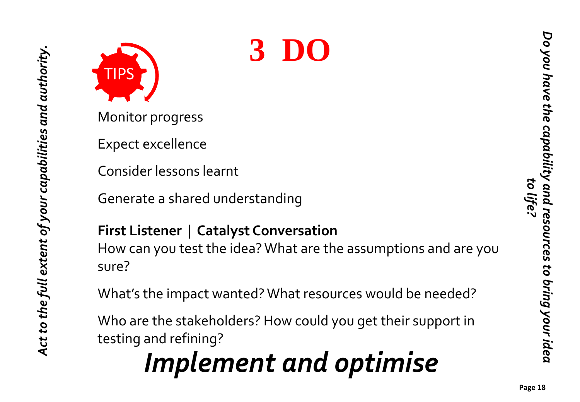

Monitor progress

Expect excellence

Consider lessons learnt

Generate a shared understanding

### **First Listener | Catalyst Conversation**

How can you test the idea? What are the assumptions and are you sure?

What's the impact wanted? What resources would be needed?

**3 DO**

Who are the stakeholders? How could you get their support in testing and refining?

### *Implement and optimise*